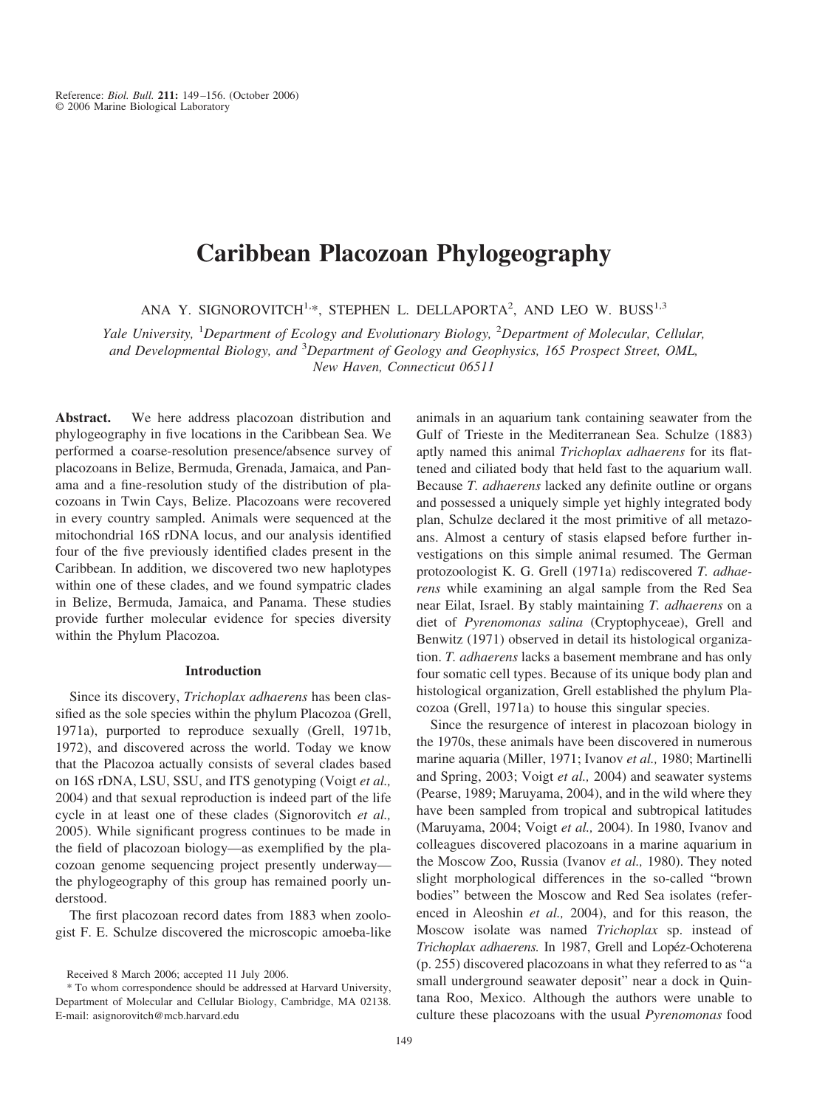# **Caribbean Placozoan Phylogeography**

ANA Y. SIGNOROVITCH<sup>1,\*</sup>, STEPHEN L. DELLAPORTA<sup>2</sup>, AND LEO W. BUSS<sup>1,3</sup>

*Yale University,* <sup>1</sup> *Department of Ecology and Evolutionary Biology,* <sup>2</sup> *Department of Molecular, Cellular, and Developmental Biology, and* <sup>3</sup> *Department of Geology and Geophysics, 165 Prospect Street, OML, New Haven, Connecticut 06511*

**Abstract.** We here address placozoan distribution and phylogeography in five locations in the Caribbean Sea. We performed a coarse-resolution presence/absence survey of placozoans in Belize, Bermuda, Grenada, Jamaica, and Panama and a fine-resolution study of the distribution of placozoans in Twin Cays, Belize. Placozoans were recovered in every country sampled. Animals were sequenced at the mitochondrial 16S rDNA locus, and our analysis identified four of the five previously identified clades present in the Caribbean. In addition, we discovered two new haplotypes within one of these clades, and we found sympatric clades in Belize, Bermuda, Jamaica, and Panama. These studies provide further molecular evidence for species diversity within the Phylum Placozoa.

### **Introduction**

Since its discovery, *Trichoplax adhaerens* has been classified as the sole species within the phylum Placozoa (Grell, 1971a), purported to reproduce sexually (Grell, 1971b, 1972), and discovered across the world. Today we know that the Placozoa actually consists of several clades based on 16S rDNA, LSU, SSU, and ITS genotyping (Voigt *et al.,* 2004) and that sexual reproduction is indeed part of the life cycle in at least one of these clades (Signorovitch *et al.,* 2005). While significant progress continues to be made in the field of placozoan biology—as exemplified by the placozoan genome sequencing project presently underway the phylogeography of this group has remained poorly understood.

The first placozoan record dates from 1883 when zoologist F. E. Schulze discovered the microscopic amoeba-like animals in an aquarium tank containing seawater from the Gulf of Trieste in the Mediterranean Sea. Schulze (1883) aptly named this animal *Trichoplax adhaerens* for its flattened and ciliated body that held fast to the aquarium wall. Because *T. adhaerens* lacked any definite outline or organs and possessed a uniquely simple yet highly integrated body plan, Schulze declared it the most primitive of all metazoans. Almost a century of stasis elapsed before further investigations on this simple animal resumed. The German protozoologist K. G. Grell (1971a) rediscovered *T. adhaerens* while examining an algal sample from the Red Sea near Eilat, Israel. By stably maintaining *T. adhaerens* on a diet of *Pyrenomonas salina* (Cryptophyceae), Grell and Benwitz (1971) observed in detail its histological organization. *T. adhaerens* lacks a basement membrane and has only four somatic cell types. Because of its unique body plan and histological organization, Grell established the phylum Placozoa (Grell, 1971a) to house this singular species.

Since the resurgence of interest in placozoan biology in the 1970s, these animals have been discovered in numerous marine aquaria (Miller, 1971; Ivanov *et al.,* 1980; Martinelli and Spring, 2003; Voigt *et al.,* 2004) and seawater systems (Pearse, 1989; Maruyama, 2004), and in the wild where they have been sampled from tropical and subtropical latitudes (Maruyama, 2004; Voigt *et al.,* 2004). In 1980, Ivanov and colleagues discovered placozoans in a marine aquarium in the Moscow Zoo, Russia (Ivanov *et al.,* 1980). They noted slight morphological differences in the so-called "brown bodies" between the Moscow and Red Sea isolates (referenced in Aleoshin *et al.,* 2004), and for this reason, the Moscow isolate was named *Trichoplax* sp. instead of *Trichoplax adhaerens.* In 1987, Grell and Lopéz-Ochoterena (p. 255) discovered placozoans in what they referred to as "a small underground seawater deposit" near a dock in Quintana Roo, Mexico. Although the authors were unable to culture these placozoans with the usual *Pyrenomonas* food

Received 8 March 2006; accepted 11 July 2006.

<sup>\*</sup> To whom correspondence should be addressed at Harvard University, Department of Molecular and Cellular Biology, Cambridge, MA 02138. E-mail: asignorovitch@mcb.harvard.edu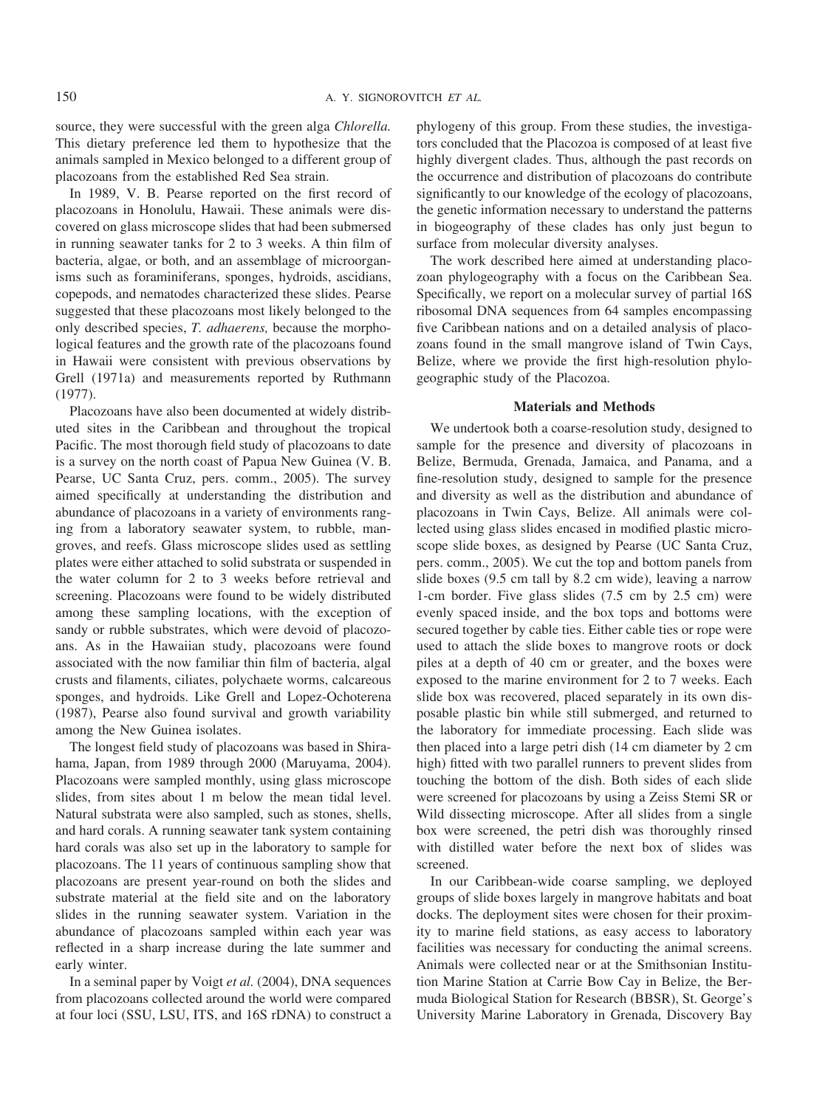source, they were successful with the green alga *Chlorella.* This dietary preference led them to hypothesize that the animals sampled in Mexico belonged to a different group of placozoans from the established Red Sea strain.

In 1989, V. B. Pearse reported on the first record of placozoans in Honolulu, Hawaii. These animals were discovered on glass microscope slides that had been submersed in running seawater tanks for 2 to 3 weeks. A thin film of bacteria, algae, or both, and an assemblage of microorganisms such as foraminiferans, sponges, hydroids, ascidians, copepods, and nematodes characterized these slides. Pearse suggested that these placozoans most likely belonged to the only described species, *T. adhaerens,* because the morphological features and the growth rate of the placozoans found in Hawaii were consistent with previous observations by Grell (1971a) and measurements reported by Ruthmann (1977).

Placozoans have also been documented at widely distributed sites in the Caribbean and throughout the tropical Pacific. The most thorough field study of placozoans to date is a survey on the north coast of Papua New Guinea (V. B. Pearse, UC Santa Cruz, pers. comm., 2005). The survey aimed specifically at understanding the distribution and abundance of placozoans in a variety of environments ranging from a laboratory seawater system, to rubble, mangroves, and reefs. Glass microscope slides used as settling plates were either attached to solid substrata or suspended in the water column for 2 to 3 weeks before retrieval and screening. Placozoans were found to be widely distributed among these sampling locations, with the exception of sandy or rubble substrates, which were devoid of placozoans. As in the Hawaiian study, placozoans were found associated with the now familiar thin film of bacteria, algal crusts and filaments, ciliates, polychaete worms, calcareous sponges, and hydroids. Like Grell and Lopez-Ochoterena (1987), Pearse also found survival and growth variability among the New Guinea isolates.

The longest field study of placozoans was based in Shirahama, Japan, from 1989 through 2000 (Maruyama, 2004). Placozoans were sampled monthly, using glass microscope slides, from sites about 1 m below the mean tidal level. Natural substrata were also sampled, such as stones, shells, and hard corals. A running seawater tank system containing hard corals was also set up in the laboratory to sample for placozoans. The 11 years of continuous sampling show that placozoans are present year-round on both the slides and substrate material at the field site and on the laboratory slides in the running seawater system. Variation in the abundance of placozoans sampled within each year was reflected in a sharp increase during the late summer and early winter.

In a seminal paper by Voigt *et al.* (2004), DNA sequences from placozoans collected around the world were compared at four loci (SSU, LSU, ITS, and 16S rDNA) to construct a phylogeny of this group. From these studies, the investigators concluded that the Placozoa is composed of at least five highly divergent clades. Thus, although the past records on the occurrence and distribution of placozoans do contribute significantly to our knowledge of the ecology of placozoans, the genetic information necessary to understand the patterns in biogeography of these clades has only just begun to surface from molecular diversity analyses.

The work described here aimed at understanding placozoan phylogeography with a focus on the Caribbean Sea. Specifically, we report on a molecular survey of partial 16S ribosomal DNA sequences from 64 samples encompassing five Caribbean nations and on a detailed analysis of placozoans found in the small mangrove island of Twin Cays, Belize, where we provide the first high-resolution phylogeographic study of the Placozoa.

# **Materials and Methods**

We undertook both a coarse-resolution study, designed to sample for the presence and diversity of placozoans in Belize, Bermuda, Grenada, Jamaica, and Panama, and a fine-resolution study, designed to sample for the presence and diversity as well as the distribution and abundance of placozoans in Twin Cays, Belize. All animals were collected using glass slides encased in modified plastic microscope slide boxes, as designed by Pearse (UC Santa Cruz, pers. comm., 2005). We cut the top and bottom panels from slide boxes (9.5 cm tall by 8.2 cm wide), leaving a narrow 1-cm border. Five glass slides (7.5 cm by 2.5 cm) were evenly spaced inside, and the box tops and bottoms were secured together by cable ties. Either cable ties or rope were used to attach the slide boxes to mangrove roots or dock piles at a depth of 40 cm or greater, and the boxes were exposed to the marine environment for 2 to 7 weeks. Each slide box was recovered, placed separately in its own disposable plastic bin while still submerged, and returned to the laboratory for immediate processing. Each slide was then placed into a large petri dish (14 cm diameter by 2 cm high) fitted with two parallel runners to prevent slides from touching the bottom of the dish. Both sides of each slide were screened for placozoans by using a Zeiss Stemi SR or Wild dissecting microscope. After all slides from a single box were screened, the petri dish was thoroughly rinsed with distilled water before the next box of slides was screened.

In our Caribbean-wide coarse sampling, we deployed groups of slide boxes largely in mangrove habitats and boat docks. The deployment sites were chosen for their proximity to marine field stations, as easy access to laboratory facilities was necessary for conducting the animal screens. Animals were collected near or at the Smithsonian Institution Marine Station at Carrie Bow Cay in Belize, the Bermuda Biological Station for Research (BBSR), St. George's University Marine Laboratory in Grenada, Discovery Bay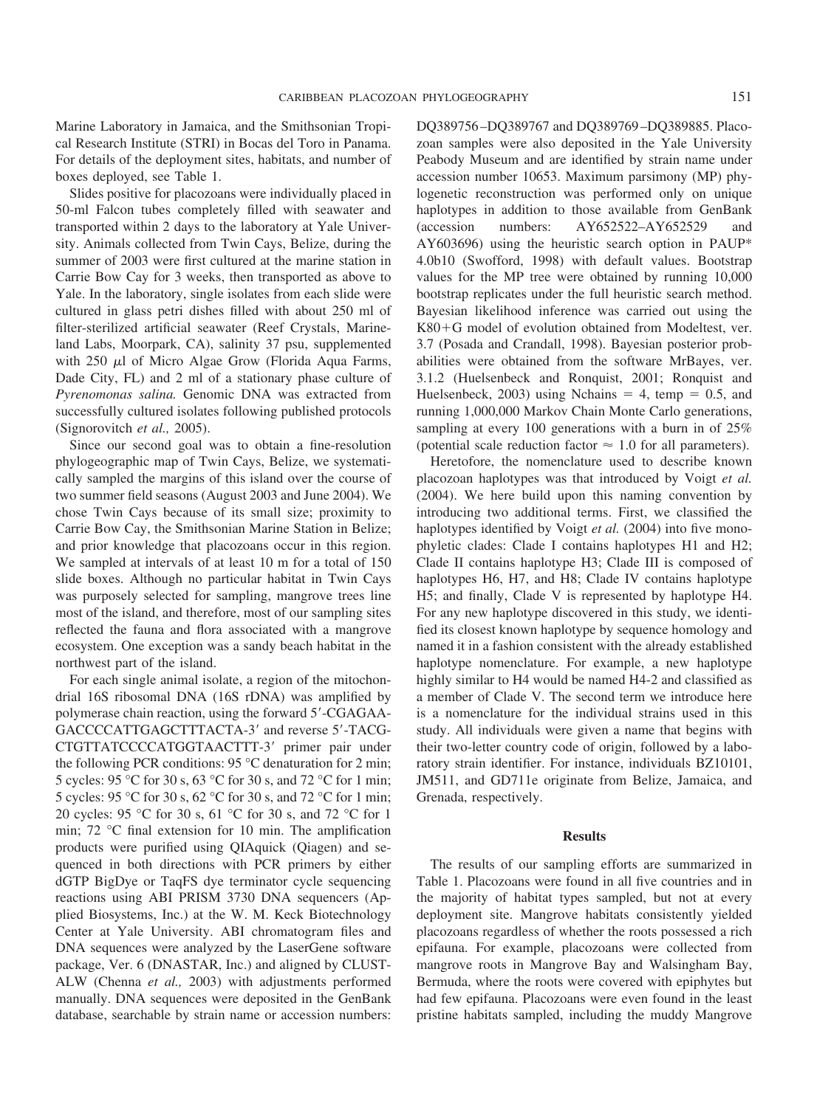Marine Laboratory in Jamaica, and the Smithsonian Tropical Research Institute (STRI) in Bocas del Toro in Panama. For details of the deployment sites, habitats, and number of boxes deployed, see Table 1.

Slides positive for placozoans were individually placed in 50-ml Falcon tubes completely filled with seawater and transported within 2 days to the laboratory at Yale University. Animals collected from Twin Cays, Belize, during the summer of 2003 were first cultured at the marine station in Carrie Bow Cay for 3 weeks, then transported as above to Yale. In the laboratory, single isolates from each slide were cultured in glass petri dishes filled with about 250 ml of filter-sterilized artificial seawater (Reef Crystals, Marineland Labs, Moorpark, CA), salinity 37 psu, supplemented with  $250 \mu l$  of Micro Algae Grow (Florida Aqua Farms, Dade City, FL) and 2 ml of a stationary phase culture of *Pyrenomonas salina.* Genomic DNA was extracted from successfully cultured isolates following published protocols (Signorovitch *et al.,* 2005).

Since our second goal was to obtain a fine-resolution phylogeographic map of Twin Cays, Belize, we systematically sampled the margins of this island over the course of two summer field seasons (August 2003 and June 2004). We chose Twin Cays because of its small size; proximity to Carrie Bow Cay, the Smithsonian Marine Station in Belize; and prior knowledge that placozoans occur in this region. We sampled at intervals of at least 10 m for a total of 150 slide boxes. Although no particular habitat in Twin Cays was purposely selected for sampling, mangrove trees line most of the island, and therefore, most of our sampling sites reflected the fauna and flora associated with a mangrove ecosystem. One exception was a sandy beach habitat in the northwest part of the island.

For each single animal isolate, a region of the mitochondrial 16S ribosomal DNA (16S rDNA) was amplified by polymerase chain reaction, using the forward 5'-CGAGAA-GACCCCATTGAGCTTTACTA-3' and reverse 5'-TACG-CTGTTATCCCCATGGTAACTTT-3' primer pair under the following PCR conditions: 95 °C denaturation for 2 min; 5 cycles: 95 °C for 30 s, 63 °C for 30 s, and 72 °C for 1 min; 5 cycles: 95 °C for 30 s, 62 °C for 30 s, and 72 °C for 1 min; 20 cycles: 95 °C for 30 s, 61 °C for 30 s, and 72 °C for 1 min; 72 °C final extension for 10 min. The amplification products were purified using QIAquick (Qiagen) and sequenced in both directions with PCR primers by either dGTP BigDye or TaqFS dye terminator cycle sequencing reactions using ABI PRISM 3730 DNA sequencers (Applied Biosystems, Inc.) at the W. M. Keck Biotechnology Center at Yale University. ABI chromatogram files and DNA sequences were analyzed by the LaserGene software package, Ver. 6 (DNASTAR, Inc.) and aligned by CLUST-ALW (Chenna *et al.,* 2003) with adjustments performed manually. DNA sequences were deposited in the GenBank database, searchable by strain name or accession numbers:

DQ389756–DQ389767 and DQ389769–DQ389885. Placozoan samples were also deposited in the Yale University Peabody Museum and are identified by strain name under accession number 10653. Maximum parsimony (MP) phylogenetic reconstruction was performed only on unique haplotypes in addition to those available from GenBank (accession numbers: AY652522–AY652529 and AY603696) using the heuristic search option in PAUP\* 4.0b10 (Swofford, 1998) with default values. Bootstrap values for the MP tree were obtained by running 10,000 bootstrap replicates under the full heuristic search method. Bayesian likelihood inference was carried out using the  $K80+G$  model of evolution obtained from Modeltest, ver. 3.7 (Posada and Crandall, 1998). Bayesian posterior probabilities were obtained from the software MrBayes, ver. 3.1.2 (Huelsenbeck and Ronquist, 2001; Ronquist and Huelsenbeck, 2003) using Nchains  $= 4$ , temp  $= 0.5$ , and running 1,000,000 Markov Chain Monte Carlo generations, sampling at every 100 generations with a burn in of 25% (potential scale reduction factor  $\approx 1.0$  for all parameters).

Heretofore, the nomenclature used to describe known placozoan haplotypes was that introduced by Voigt *et al.* (2004). We here build upon this naming convention by introducing two additional terms. First, we classified the haplotypes identified by Voigt *et al.* (2004) into five monophyletic clades: Clade I contains haplotypes H1 and H2; Clade II contains haplotype H3; Clade III is composed of haplotypes H6, H7, and H8; Clade IV contains haplotype H5; and finally, Clade V is represented by haplotype H4. For any new haplotype discovered in this study, we identified its closest known haplotype by sequence homology and named it in a fashion consistent with the already established haplotype nomenclature. For example, a new haplotype highly similar to H4 would be named H4-2 and classified as a member of Clade V. The second term we introduce here is a nomenclature for the individual strains used in this study. All individuals were given a name that begins with their two-letter country code of origin, followed by a laboratory strain identifier. For instance, individuals BZ10101, JM511, and GD711e originate from Belize, Jamaica, and Grenada, respectively.

#### **Results**

The results of our sampling efforts are summarized in Table 1. Placozoans were found in all five countries and in the majority of habitat types sampled, but not at every deployment site. Mangrove habitats consistently yielded placozoans regardless of whether the roots possessed a rich epifauna. For example, placozoans were collected from mangrove roots in Mangrove Bay and Walsingham Bay, Bermuda, where the roots were covered with epiphytes but had few epifauna. Placozoans were even found in the least pristine habitats sampled, including the muddy Mangrove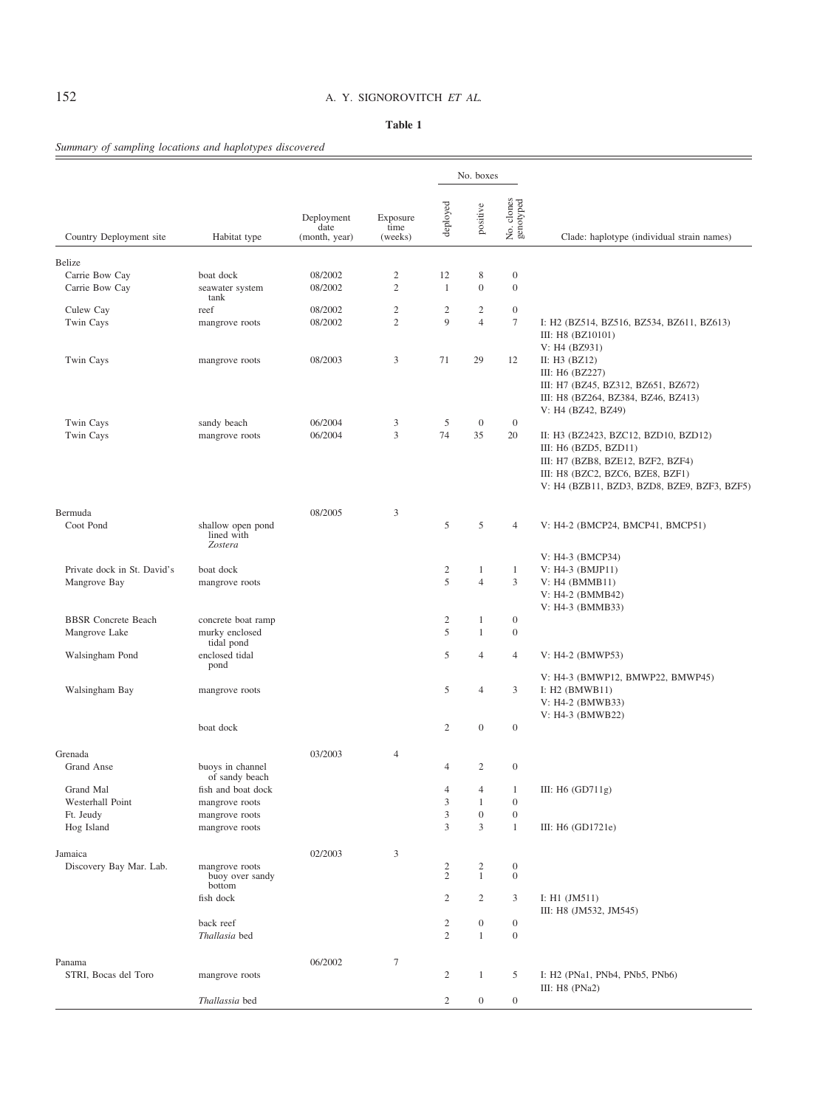# 152 A. Y. SIGNOROVITCH *ET AL.*

## **Table 1**

# *Summary of sampling locations and haplotypes discovered*

|                                             |                                                |                                     |                                |                     | No. boxes                      |                                      |                                                                                                                                                                                         |
|---------------------------------------------|------------------------------------------------|-------------------------------------|--------------------------------|---------------------|--------------------------------|--------------------------------------|-----------------------------------------------------------------------------------------------------------------------------------------------------------------------------------------|
| Country Deployment site                     | Habitat type                                   | Deployment<br>date<br>(month, year) | Exposure<br>time<br>(weeks)    | deployed            | positive                       | No. clones<br>genotyped              | Clade: haplotype (individual strain names)                                                                                                                                              |
|                                             |                                                |                                     |                                |                     |                                |                                      |                                                                                                                                                                                         |
| Belize                                      |                                                |                                     |                                |                     |                                |                                      |                                                                                                                                                                                         |
| Carrie Bow Cay<br>Carrie Bow Cay            | boat dock<br>seawater system<br>tank           | 08/2002<br>08/2002                  | $\overline{c}$<br>$\mathbf{2}$ | 12<br>1             | 8<br>$\mathbf{0}$              | $\boldsymbol{0}$<br>$\boldsymbol{0}$ |                                                                                                                                                                                         |
| Culew Cay                                   | reef                                           | 08/2002                             | $\boldsymbol{2}$               | $\boldsymbol{2}$    | $\mathbf{2}$                   | $\boldsymbol{0}$                     |                                                                                                                                                                                         |
| Twin Cays                                   | mangrove roots                                 | 08/2002                             | $\overline{2}$                 | $\mathbf{Q}$        | $\overline{4}$                 | $\tau$                               | I: H <sub>2</sub> (BZ514, BZ516, BZ534, BZ611, BZ613)<br>III: H8 (BZ10101)<br>V: H4 (BZ931)                                                                                             |
| Twin Cays                                   | mangrove roots                                 | 08/2003                             | 3                              | 71                  | 29                             | 12                                   | II: $H3$ (BZ12)<br>III: H <sub>6</sub> (BZ227)<br>III: H7 (BZ45, BZ312, BZ651, BZ672)<br>III: H8 (BZ264, BZ384, BZ46, BZ413)<br>V: H4 (BZ42, BZ49)                                      |
| Twin Cays                                   | sandy beach                                    | 06/2004                             | 3                              | 5                   | $\mathbf{0}$                   | $\boldsymbol{0}$                     |                                                                                                                                                                                         |
| Twin Cays                                   | mangrove roots                                 | 06/2004                             | 3                              | 74                  | 35                             | 20                                   | II: H3 (BZ2423, BZC12, BZD10, BZD12)<br>III: $H6$ (BZD5, BZD11)<br>III: H7 (BZB8, BZE12, BZF2, BZF4)<br>III: H8 (BZC2, BZC6, BZE8, BZF1)<br>V: H4 (BZB11, BZD3, BZD8, BZE9, BZF3, BZF5) |
| Bermuda                                     |                                                | 08/2005                             | 3                              |                     |                                |                                      |                                                                                                                                                                                         |
| Coot Pond                                   | shallow open pond<br>lined with<br>Zostera     |                                     |                                | 5                   | 5                              | $\overline{4}$                       | V: H4-2 (BMCP24, BMCP41, BMCP51)                                                                                                                                                        |
|                                             |                                                |                                     |                                |                     |                                |                                      | V: H4-3 (BMCP34)                                                                                                                                                                        |
| Private dock in St. David's<br>Mangrove Bay | boat dock<br>mangrove roots                    |                                     |                                | $\overline{c}$<br>5 | 1<br>$\overline{4}$            | $\mathbf{1}$<br>3                    | $V: H4-3$ (BMJP11)<br>$V: H4$ (BMMB11)<br>V: H4-2 (BMMB42)<br>V: H4-3 (BMMB33)                                                                                                          |
| <b>BBSR</b> Concrete Beach                  | concrete boat ramp                             |                                     |                                | $\overline{c}$      | $\mathbf{1}$                   | $\boldsymbol{0}$                     |                                                                                                                                                                                         |
| Mangrove Lake<br>Walsingham Pond            | murky enclosed<br>tidal pond<br>enclosed tidal |                                     |                                | 5<br>5              | $\mathbf{1}$<br>$\overline{4}$ | $\boldsymbol{0}$<br>$\overline{4}$   | V: H4-2 (BMWP53)                                                                                                                                                                        |
|                                             | pond                                           |                                     |                                |                     |                                |                                      | V: H4-3 (BMWP12, BMWP22, BMWP45)                                                                                                                                                        |
| Walsingham Bay                              | mangrove roots                                 |                                     |                                | 5                   | $\overline{4}$                 | 3                                    | I: $H2$ (BMWB11)<br>V: H4-2 (BMWB33)<br>V: H4-3 (BMWB22)                                                                                                                                |
|                                             | boat dock                                      |                                     |                                | 2                   | $\mathbf{0}$                   | $\boldsymbol{0}$                     |                                                                                                                                                                                         |
| Grenada                                     |                                                | 03/2003                             | $\overline{4}$                 |                     |                                |                                      |                                                                                                                                                                                         |
| Grand Anse                                  | buoys in channel<br>of sandy beach             |                                     |                                | 4                   | $\mathfrak{2}$                 | $\boldsymbol{0}$                     |                                                                                                                                                                                         |
| Grand Mal                                   | fish and boat dock                             |                                     |                                | 4                   | 4                              | $\mathbf{1}$                         | III: H6 (GD711g)                                                                                                                                                                        |
| Westerhall Point                            | mangrove roots                                 |                                     |                                | 3                   | $\mathbf{1}$                   | $\boldsymbol{0}$                     |                                                                                                                                                                                         |
| Ft. Jeudy                                   | mangrove roots                                 |                                     |                                | 3                   | $\boldsymbol{0}$               | $\boldsymbol{0}$                     |                                                                                                                                                                                         |
| Hog Island                                  | mangrove roots                                 |                                     |                                | 3                   | 3                              | $\mathbf{1}$                         | III: H6 (GD1721e)                                                                                                                                                                       |
| Jamaica                                     |                                                | 02/2003                             | 3                              |                     |                                |                                      |                                                                                                                                                                                         |
| Discovery Bay Mar. Lab.                     | mangrove roots                                 |                                     |                                |                     | $\frac{2}{1}$                  | $\boldsymbol{0}$                     |                                                                                                                                                                                         |
|                                             | buoy over sandy<br>bottom                      |                                     |                                | $\frac{2}{2}$       |                                | $\boldsymbol{0}$                     |                                                                                                                                                                                         |
|                                             | fish dock                                      |                                     |                                | $\mathbf{2}$        | $\overline{c}$                 | 3                                    | I: $H1$ (JM511)<br>III: H8 (JM532, JM545)                                                                                                                                               |
|                                             | back reef                                      |                                     |                                | $\overline{c}$      | $\boldsymbol{0}$               | $\boldsymbol{0}$                     |                                                                                                                                                                                         |
|                                             | Thallasia bed                                  |                                     |                                | $\mathbf{2}$        | $\mathbf{1}$                   | $\boldsymbol{0}$                     |                                                                                                                                                                                         |
| Panama                                      |                                                | 06/2002                             | $\tau$                         |                     |                                |                                      |                                                                                                                                                                                         |
| STRI, Bocas del Toro                        | mangrove roots                                 |                                     |                                | $\mathbf{2}$        | $\mathbf{1}$                   | 5                                    | I: H2 (PNa1, PNb4, PNb5, PNb6)<br>III: $H8$ (PNa2)                                                                                                                                      |
|                                             | Thallassia bed                                 |                                     |                                | $\overline{c}$      | $\boldsymbol{0}$               | $\boldsymbol{0}$                     |                                                                                                                                                                                         |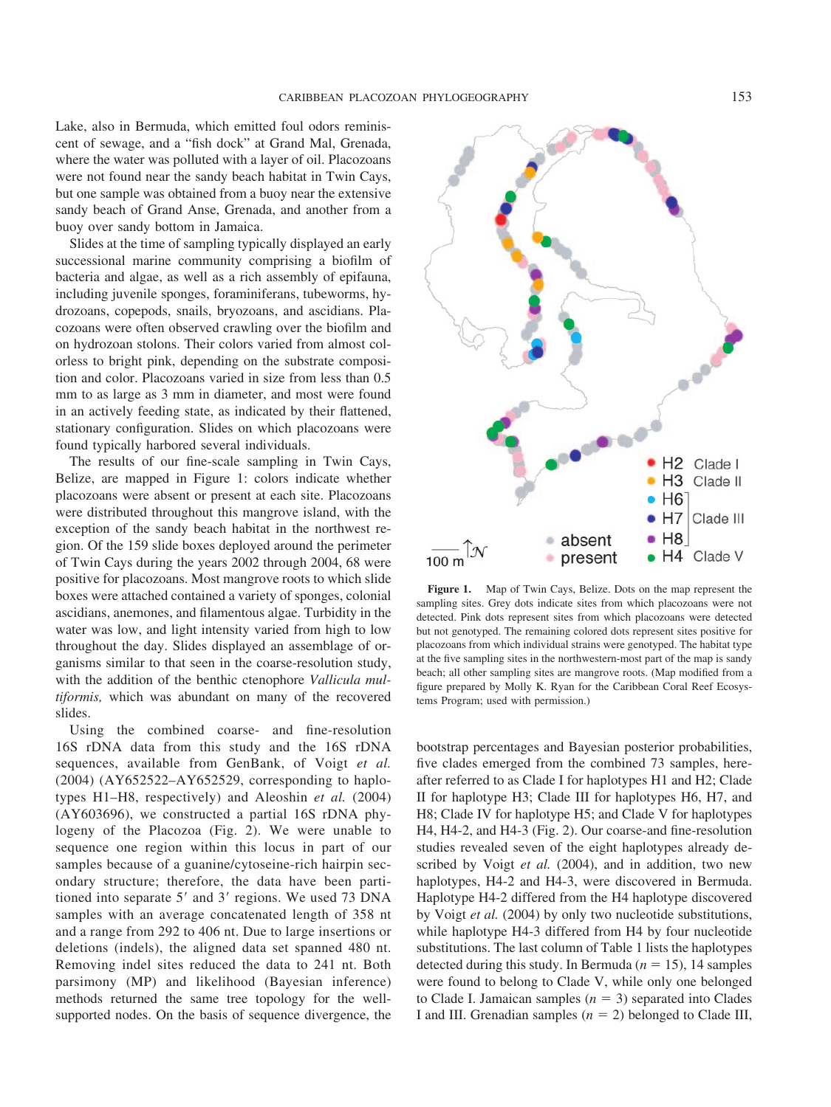Lake, also in Bermuda, which emitted foul odors reminiscent of sewage, and a "fish dock" at Grand Mal, Grenada, where the water was polluted with a layer of oil. Placozoans were not found near the sandy beach habitat in Twin Cays, but one sample was obtained from a buoy near the extensive sandy beach of Grand Anse, Grenada, and another from a buoy over sandy bottom in Jamaica.

Slides at the time of sampling typically displayed an early successional marine community comprising a biofilm of bacteria and algae, as well as a rich assembly of epifauna, including juvenile sponges, foraminiferans, tubeworms, hydrozoans, copepods, snails, bryozoans, and ascidians. Placozoans were often observed crawling over the biofilm and on hydrozoan stolons. Their colors varied from almost colorless to bright pink, depending on the substrate composition and color. Placozoans varied in size from less than 0.5 mm to as large as 3 mm in diameter, and most were found in an actively feeding state, as indicated by their flattened, stationary configuration. Slides on which placozoans were found typically harbored several individuals.

The results of our fine-scale sampling in Twin Cays, Belize, are mapped in Figure 1: colors indicate whether placozoans were absent or present at each site. Placozoans were distributed throughout this mangrove island, with the exception of the sandy beach habitat in the northwest region. Of the 159 slide boxes deployed around the perimeter of Twin Cays during the years 2002 through 2004, 68 were positive for placozoans. Most mangrove roots to which slide boxes were attached contained a variety of sponges, colonial ascidians, anemones, and filamentous algae. Turbidity in the water was low, and light intensity varied from high to low throughout the day. Slides displayed an assemblage of organisms similar to that seen in the coarse-resolution study, with the addition of the benthic ctenophore *Vallicula multiformis,* which was abundant on many of the recovered slides.

Using the combined coarse- and fine-resolution 16S rDNA data from this study and the 16S rDNA sequences, available from GenBank, of Voigt *et al.* (2004) (AY652522–AY652529, corresponding to haplotypes H1–H8, respectively) and Aleoshin *et al.* (2004) (AY603696), we constructed a partial 16S rDNA phylogeny of the Placozoa (Fig. 2). We were unable to sequence one region within this locus in part of our samples because of a guanine/cytoseine-rich hairpin secondary structure; therefore, the data have been partitioned into separate 5' and 3' regions. We used 73 DNA samples with an average concatenated length of 358 nt and a range from 292 to 406 nt. Due to large insertions or deletions (indels), the aligned data set spanned 480 nt. Removing indel sites reduced the data to 241 nt. Both parsimony (MP) and likelihood (Bayesian inference) methods returned the same tree topology for the wellsupported nodes. On the basis of sequence divergence, the



**Figure 1.** Map of Twin Cays, Belize. Dots on the map represent the sampling sites. Grey dots indicate sites from which placozoans were not detected. Pink dots represent sites from which placozoans were detected but not genotyped. The remaining colored dots represent sites positive for placozoans from which individual strains were genotyped. The habitat type at the five sampling sites in the northwestern-most part of the map is sandy beach; all other sampling sites are mangrove roots. (Map modified from a figure prepared by Molly K. Ryan for the Caribbean Coral Reef Ecosystems Program; used with permission.)

bootstrap percentages and Bayesian posterior probabilities, five clades emerged from the combined 73 samples, hereafter referred to as Clade I for haplotypes H1 and H2; Clade II for haplotype H3; Clade III for haplotypes H6, H7, and H8; Clade IV for haplotype H5; and Clade V for haplotypes H4, H4-2, and H4-3 (Fig. 2). Our coarse-and fine-resolution studies revealed seven of the eight haplotypes already described by Voigt *et al.* (2004), and in addition, two new haplotypes, H4-2 and H4-3, were discovered in Bermuda. Haplotype H4-2 differed from the H4 haplotype discovered by Voigt *et al.* (2004) by only two nucleotide substitutions, while haplotype H4-3 differed from H4 by four nucleotide substitutions. The last column of Table 1 lists the haplotypes detected during this study. In Bermuda ( $n = 15$ ), 14 samples were found to belong to Clade V, while only one belonged to Clade I. Jamaican samples  $(n = 3)$  separated into Clades I and III. Grenadian samples  $(n = 2)$  belonged to Clade III,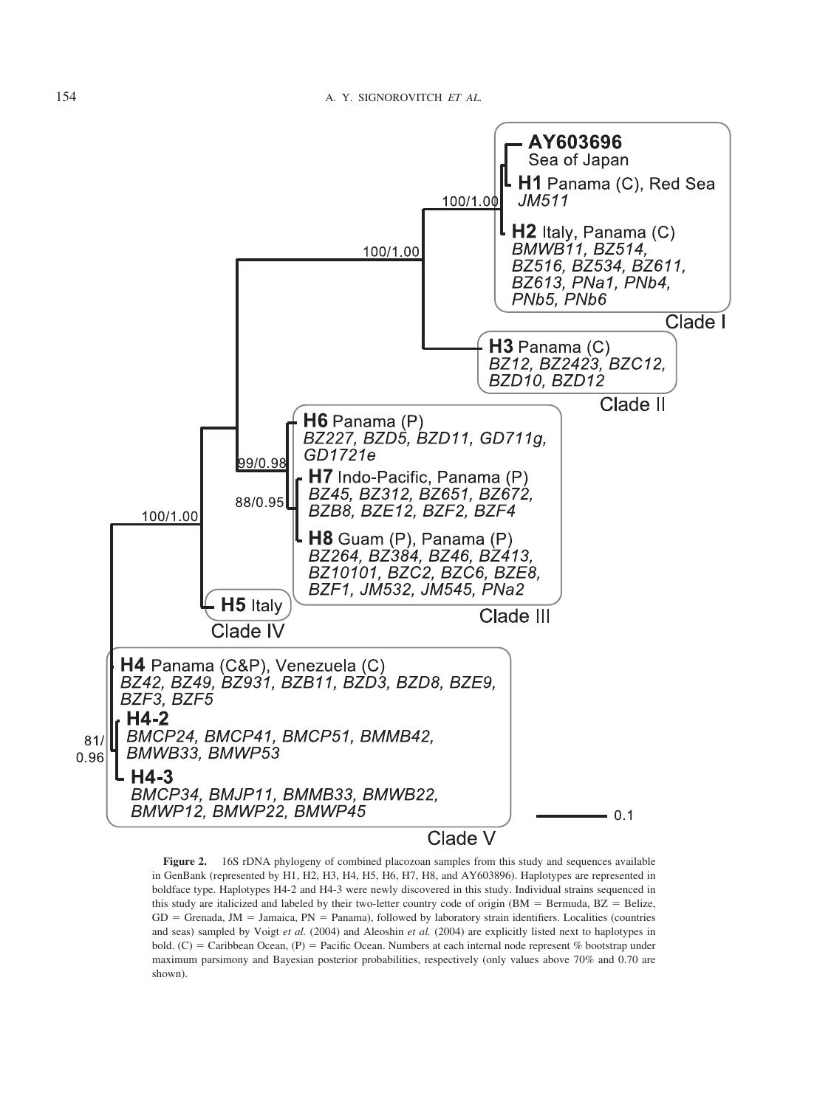

**Figure 2.** 16S rDNA phylogeny of combined placozoan samples from this study and sequences available in GenBank (represented by H1, H2, H3, H4, H5, H6, H7, H8, and AY603896). Haplotypes are represented in boldface type. Haplotypes H4-2 and H4-3 were newly discovered in this study. Individual strains sequenced in this study are italicized and labeled by their two-letter country code of origin (BM  $=$  Bermuda, BZ  $=$  Belize,  $GD =$  Grenada, JM = Jamaica,  $PN =$  Panama), followed by laboratory strain identifiers. Localities (countries and seas) sampled by Voigt *et al.* (2004) and Aleoshin *et al.* (2004) are explicitly listed next to haplotypes in bold. (C) = Caribbean Ocean, (P) = Pacific Ocean. Numbers at each internal node represent % bootstrap under maximum parsimony and Bayesian posterior probabilities, respectively (only values above 70% and 0.70 are shown).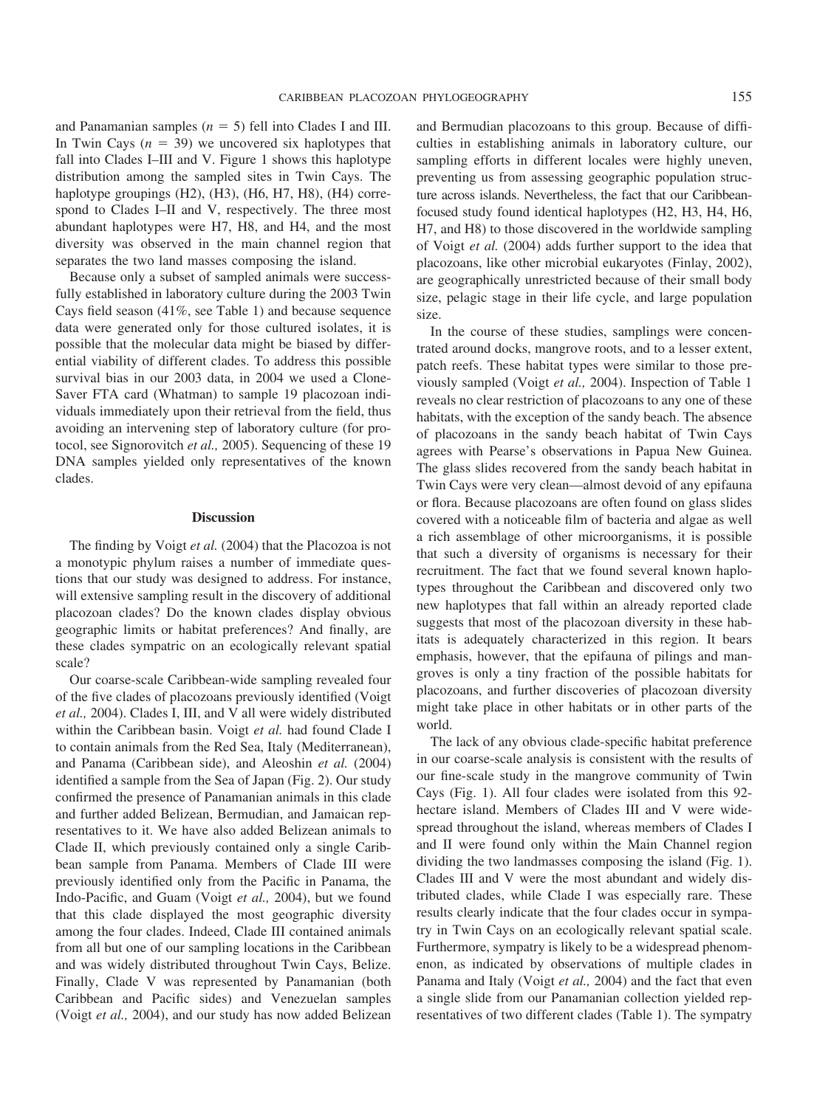and Panamanian samples  $(n = 5)$  fell into Clades I and III. In Twin Cays  $(n = 39)$  we uncovered six haplotypes that fall into Clades I–III and V. Figure 1 shows this haplotype distribution among the sampled sites in Twin Cays. The haplotype groupings (H2), (H3), (H6, H7, H8), (H4) correspond to Clades I–II and V, respectively. The three most abundant haplotypes were H7, H8, and H4, and the most diversity was observed in the main channel region that separates the two land masses composing the island.

Because only a subset of sampled animals were successfully established in laboratory culture during the 2003 Twin Cays field season (41%, see Table 1) and because sequence data were generated only for those cultured isolates, it is possible that the molecular data might be biased by differential viability of different clades. To address this possible survival bias in our 2003 data, in 2004 we used a Clone-Saver FTA card (Whatman) to sample 19 placozoan individuals immediately upon their retrieval from the field, thus avoiding an intervening step of laboratory culture (for protocol, see Signorovitch *et al.,* 2005). Sequencing of these 19 DNA samples yielded only representatives of the known clades.

#### **Discussion**

The finding by Voigt *et al.* (2004) that the Placozoa is not a monotypic phylum raises a number of immediate questions that our study was designed to address. For instance, will extensive sampling result in the discovery of additional placozoan clades? Do the known clades display obvious geographic limits or habitat preferences? And finally, are these clades sympatric on an ecologically relevant spatial scale?

Our coarse-scale Caribbean-wide sampling revealed four of the five clades of placozoans previously identified (Voigt *et al.,* 2004). Clades I, III, and V all were widely distributed within the Caribbean basin. Voigt *et al.* had found Clade I to contain animals from the Red Sea, Italy (Mediterranean), and Panama (Caribbean side), and Aleoshin *et al.* (2004) identified a sample from the Sea of Japan (Fig. 2). Our study confirmed the presence of Panamanian animals in this clade and further added Belizean, Bermudian, and Jamaican representatives to it. We have also added Belizean animals to Clade II, which previously contained only a single Caribbean sample from Panama. Members of Clade III were previously identified only from the Pacific in Panama, the Indo-Pacific, and Guam (Voigt *et al.,* 2004), but we found that this clade displayed the most geographic diversity among the four clades. Indeed, Clade III contained animals from all but one of our sampling locations in the Caribbean and was widely distributed throughout Twin Cays, Belize. Finally, Clade V was represented by Panamanian (both Caribbean and Pacific sides) and Venezuelan samples (Voigt *et al.,* 2004), and our study has now added Belizean and Bermudian placozoans to this group. Because of difficulties in establishing animals in laboratory culture, our sampling efforts in different locales were highly uneven, preventing us from assessing geographic population structure across islands. Nevertheless, the fact that our Caribbeanfocused study found identical haplotypes (H2, H3, H4, H6, H7, and H8) to those discovered in the worldwide sampling of Voigt *et al.* (2004) adds further support to the idea that placozoans, like other microbial eukaryotes (Finlay, 2002), are geographically unrestricted because of their small body size, pelagic stage in their life cycle, and large population size.

In the course of these studies, samplings were concentrated around docks, mangrove roots, and to a lesser extent, patch reefs. These habitat types were similar to those previously sampled (Voigt *et al.,* 2004). Inspection of Table 1 reveals no clear restriction of placozoans to any one of these habitats, with the exception of the sandy beach. The absence of placozoans in the sandy beach habitat of Twin Cays agrees with Pearse's observations in Papua New Guinea. The glass slides recovered from the sandy beach habitat in Twin Cays were very clean—almost devoid of any epifauna or flora. Because placozoans are often found on glass slides covered with a noticeable film of bacteria and algae as well a rich assemblage of other microorganisms, it is possible that such a diversity of organisms is necessary for their recruitment. The fact that we found several known haplotypes throughout the Caribbean and discovered only two new haplotypes that fall within an already reported clade suggests that most of the placozoan diversity in these habitats is adequately characterized in this region. It bears emphasis, however, that the epifauna of pilings and mangroves is only a tiny fraction of the possible habitats for placozoans, and further discoveries of placozoan diversity might take place in other habitats or in other parts of the world.

The lack of any obvious clade-specific habitat preference in our coarse-scale analysis is consistent with the results of our fine-scale study in the mangrove community of Twin Cays (Fig. 1). All four clades were isolated from this 92 hectare island. Members of Clades III and V were widespread throughout the island, whereas members of Clades I and II were found only within the Main Channel region dividing the two landmasses composing the island (Fig. 1). Clades III and V were the most abundant and widely distributed clades, while Clade I was especially rare. These results clearly indicate that the four clades occur in sympatry in Twin Cays on an ecologically relevant spatial scale. Furthermore, sympatry is likely to be a widespread phenomenon, as indicated by observations of multiple clades in Panama and Italy (Voigt *et al.,* 2004) and the fact that even a single slide from our Panamanian collection yielded representatives of two different clades (Table 1). The sympatry